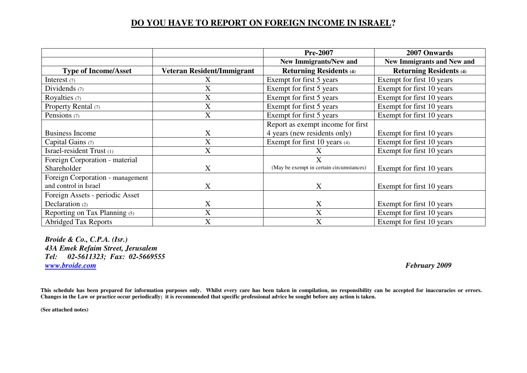## **DO YOU HAVE TO REPORT ON FOREIGN INCOME IN ISRAEL?**

|                                  |                            | <b>Pre-2007</b>                          | 2007 Onwards                      |
|----------------------------------|----------------------------|------------------------------------------|-----------------------------------|
|                                  |                            | <b>New Immigrants/New and</b>            | <b>New Immigrants and New and</b> |
| <b>Type of Income/Asset</b>      | Veteran Resident/Immigrant | <b>Returning Residents (4)</b>           | <b>Returning Residents (4)</b>    |
| Interest $(7)$                   | X.                         | Exempt for first 5 years                 | Exempt for first 10 years         |
| Dividends $(7)$                  | X                          | Exempt for first 5 years                 | Exempt for first 10 years         |
| Royalties $(7)$                  | X                          | Exempt for first 5 years                 | Exempt for first 10 years         |
| Property Rental (7)              | X                          | Exempt for first 5 years                 | Exempt for first 10 years         |
| Pensions (7)                     | X                          | Exempt for first 5 years                 | Exempt for first 10 years         |
|                                  |                            | Report as exempt income for first        |                                   |
| <b>Business Income</b>           | X                          | 4 years (new residents only)             | Exempt for first 10 years         |
| Capital Gains (7)                | X                          | Exempt for first 10 years (4)            | Exempt for first 10 years         |
| Israel-resident Trust (1)        | X                          |                                          | Exempt for first 10 years         |
| Foreign Corporation - material   |                            | $\mathbf{X}$                             |                                   |
| Shareholder                      | X                          | (May be exempt in certain circumstances) | Exempt for first 10 years         |
| Foreign Corporation - management |                            |                                          |                                   |
| and control in Israel            | X                          | X                                        | Exempt for first 10 years         |
| Foreign Assets - periodic Asset  |                            |                                          |                                   |
| Declaration (2)                  | X                          | X                                        | Exempt for first 10 years         |
| Reporting on Tax Planning (5)    | X                          | X                                        | Exempt for first 10 years         |
| <b>Abridged Tax Reports</b>      | X                          | X                                        | Exempt for first 10 years         |

*Broide & Co., C.P.A. (Isr.) 43A Emek Refaim Street, Jerusalem Tel: 02-5611323; Fax: 02-5669555 www.broide.com February 2009* 

**This schedule has been prepared for information purposes only. Whilst every care has been taken in compilation, no responsibility can be accepted for inaccuracies or errors. Changes in the Law or practice occur periodically; it is recommended that specific professional advice be sought before any action is taken.** 

**(See attached notes)**